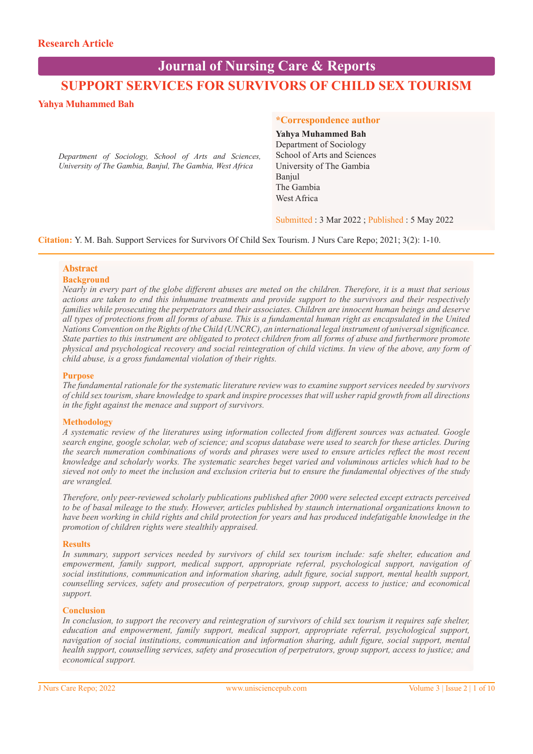# **SUPPORT SERVICES FOR SURVIVORS OF CHILD SEX TOURISM Journal of Nursing Care & Reports**

# **Yahya Muhammed Bah**

*Department of Sociology, School of Arts and Sciences, University of The Gambia, Banjul, The Gambia, West Africa*

### **\*Correspondence author**

# **Yahya Muhammed Bah** Department of Sociology School of Arts and Sciences University of The Gambia Banjul The Gambia

West Africa

Submitted : 3 Mar 2022 ; Published : 5 May 2022

**Citation:** Y. M. Bah. Support Services for Survivors Of Child Sex Tourism. J Nurs Care Repo; 2021; 3(2): 1-10.

# **Abstract**

# **Background**

*Nearly in every part of the globe different abuses are meted on the children. Therefore, it is a must that serious actions are taken to end this inhumane treatments and provide support to the survivors and their respectively families while prosecuting the perpetrators and their associates. Children are innocent human beings and deserve all types of protections from all forms of abuse. This is a fundamental human right as encapsulated in the United Nations Convention on the Rights of the Child (UNCRC), an international legal instrument of universal significance. State parties to this instrument are obligated to protect children from all forms of abuse and furthermore promote physical and psychological recovery and social reintegration of child victims. In view of the above, any form of child abuse, is a gross fundamental violation of their rights.* 

# **Purpose**

*The fundamental rationale for the systematic literature review was to examine support services needed by survivors of child sex tourism, share knowledge to spark and inspire processes that will usher rapid growth from all directions in the fight against the menace and support of survivors.*

# **Methodology**

*A systematic review of the literatures using information collected from different sources was actuated. Google search engine, google scholar, web of science; and scopus database were used to search for these articles. During the search numeration combinations of words and phrases were used to ensure articles reflect the most recent knowledge and scholarly works. The systematic searches beget varied and voluminous articles which had to be sieved not only to meet the inclusion and exclusion criteria but to ensure the fundamental objectives of the study are wrangled.*

*Therefore, only peer-reviewed scholarly publications published after 2000 were selected except extracts perceived to be of basal mileage to the study. However, articles published by staunch international organizations known to have been working in child rights and child protection for years and has produced indefatigable knowledge in the promotion of children rights were stealthily appraised.*

# **Results**

*In summary, support services needed by survivors of child sex tourism include: safe shelter, education and empowerment, family support, medical support, appropriate referral, psychological support, navigation of social institutions, communication and information sharing, adult figure, social support, mental health support, counselling services, safety and prosecution of perpetrators, group support, access to justice; and economical support.*

# **Conclusion**

*In conclusion, to support the recovery and reintegration of survivors of child sex tourism it requires safe shelter, education and empowerment, family support, medical support, appropriate referral, psychological support, navigation of social institutions, communication and information sharing, adult figure, social support, mental health support, counselling services, safety and prosecution of perpetrators, group support, access to justice; and economical support.*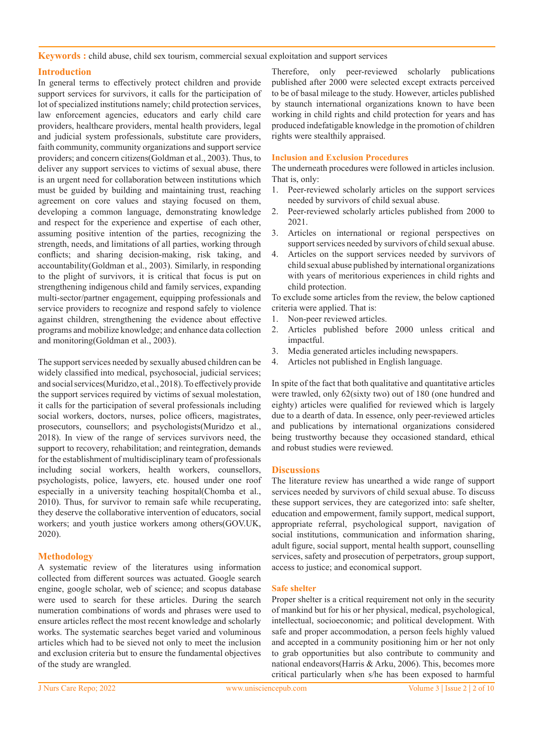**Keywords :** child abuse, child sex tourism, commercial sexual exploitation and support services

# **Introduction**

In general terms to effectively protect children and provide support services for survivors, it calls for the participation of lot of specialized institutions namely; child protection services, law enforcement agencies, educators and early child care providers, healthcare providers, mental health providers, legal and judicial system professionals, substitute care providers, faith community, community organizations and support service providers; and concern citizens(Goldman et al., 2003). Thus, to deliver any support services to victims of sexual abuse, there is an urgent need for collaboration between institutions which must be guided by building and maintaining trust, reaching agreement on core values and staying focused on them, developing a common language, demonstrating knowledge and respect for the experience and expertise of each other, assuming positive intention of the parties, recognizing the strength, needs, and limitations of all parties, working through conflicts; and sharing decision-making, risk taking, and accountability(Goldman et al., 2003). Similarly, in responding to the plight of survivors, it is critical that focus is put on strengthening indigenous child and family services, expanding multi-sector/partner engagement, equipping professionals and service providers to recognize and respond safely to violence against children, strengthening the evidence about effective programs and mobilize knowledge; and enhance data collection and monitoring(Goldman et al., 2003).

The support services needed by sexually abused children can be widely classified into medical, psychosocial, judicial services; and social services(Muridzo, et al., 2018). To effectively provide the support services required by victims of sexual molestation, it calls for the participation of several professionals including social workers, doctors, nurses, police officers, magistrates, prosecutors, counsellors; and psychologists(Muridzo et al., 2018). In view of the range of services survivors need, the support to recovery, rehabilitation; and reintegration, demands for the establishment of multidisciplinary team of professionals including social workers, health workers, counsellors, psychologists, police, lawyers, etc. housed under one roof especially in a university teaching hospital(Chomba et al., 2010). Thus, for survivor to remain safe while recuperating, they deserve the collaborative intervention of educators, social workers; and youth justice workers among others(GOV.UK, 2020).

# **Methodology**

A systematic review of the literatures using information collected from different sources was actuated. Google search engine, google scholar, web of science; and scopus database were used to search for these articles. During the search numeration combinations of words and phrases were used to ensure articles reflect the most recent knowledge and scholarly works. The systematic searches beget varied and voluminous articles which had to be sieved not only to meet the inclusion and exclusion criteria but to ensure the fundamental objectives of the study are wrangled.

Therefore, only peer-reviewed scholarly publications published after 2000 were selected except extracts perceived to be of basal mileage to the study. However, articles published by staunch international organizations known to have been working in child rights and child protection for years and has produced indefatigable knowledge in the promotion of children rights were stealthily appraised.

# **Inclusion and Exclusion Procedures**

The underneath procedures were followed in articles inclusion. That is, only:

- 1. Peer-reviewed scholarly articles on the support services needed by survivors of child sexual abuse.
- 2. Peer-reviewed scholarly articles published from 2000 to 2021.
- 3. Articles on international or regional perspectives on support services needed by survivors of child sexual abuse.
- 4. Articles on the support services needed by survivors of child sexual abuse published by international organizations with years of meritorious experiences in child rights and child protection.

To exclude some articles from the review, the below captioned criteria were applied. That is:

- 1. Non-peer reviewed articles.
- 2. Articles published before 2000 unless critical and impactful.
- 3. Media generated articles including newspapers.
- 4. Articles not published in English language.

In spite of the fact that both qualitative and quantitative articles were trawled, only 62(sixty two) out of 180 (one hundred and eighty) articles were qualified for reviewed which is largely due to a dearth of data. In essence, only peer-reviewed articles and publications by international organizations considered being trustworthy because they occasioned standard, ethical and robust studies were reviewed.

# **Discussions**

The literature review has unearthed a wide range of support services needed by survivors of child sexual abuse. To discuss these support services, they are categorized into: safe shelter, education and empowerment, family support, medical support, appropriate referral, psychological support, navigation of social institutions, communication and information sharing, adult figure, social support, mental health support, counselling services, safety and prosecution of perpetrators, group support, access to justice; and economical support.

# **Safe shelter**

Proper shelter is a critical requirement not only in the security of mankind but for his or her physical, medical, psychological, intellectual, socioeconomic; and political development. With safe and proper accommodation, a person feels highly valued and accepted in a community positioning him or her not only to grab opportunities but also contribute to community and national endeavors(Harris & Arku, 2006). This, becomes more critical particularly when s/he has been exposed to harmful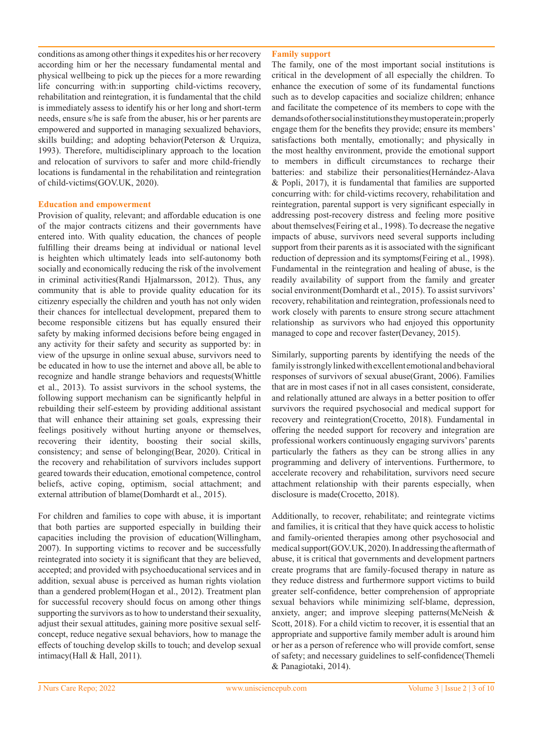conditions as among other things it expedites his or her recovery according him or her the necessary fundamental mental and physical wellbeing to pick up the pieces for a more rewarding life concurring with:in supporting child-victims recovery, rehabilitation and reintegration, it is fundamental that the child is immediately assess to identify his or her long and short-term needs, ensure s/he is safe from the abuser, his or her parents are empowered and supported in managing sexualized behaviors, skills building; and adopting behavior(Peterson & Urquiza, 1993). Therefore, multidisciplinary approach to the location and relocation of survivors to safer and more child-friendly locations is fundamental in the rehabilitation and reintegration of child-victims(GOV.UK, 2020).

### **Education and empowerment**

Provision of quality, relevant; and affordable education is one of the major contracts citizens and their governments have entered into. With quality education, the chances of people fulfilling their dreams being at individual or national level is heighten which ultimately leads into self-autonomy both socially and economically reducing the risk of the involvement in criminal activities(Randi Hjalmarsson, 2012). Thus, any community that is able to provide quality education for its citizenry especially the children and youth has not only widen their chances for intellectual development, prepared them to become responsible citizens but has equally ensured their safety by making informed decisions before being engaged in any activity for their safety and security as supported by: in view of the upsurge in online sexual abuse, survivors need to be educated in how to use the internet and above all, be able to recognize and handle strange behaviors and requests(Whittle et al., 2013). To assist survivors in the school systems, the following support mechanism can be significantly helpful in rebuilding their self-esteem by providing additional assistant that will enhance their attaining set goals, expressing their feelings positively without hurting anyone or themselves, recovering their identity, boosting their social skills, consistency; and sense of belonging(Bear, 2020). Critical in the recovery and rehabilitation of survivors includes support geared towards their education, emotional competence, control beliefs, active coping, optimism, social attachment; and external attribution of blame(Domhardt et al., 2015).

For children and families to cope with abuse, it is important that both parties are supported especially in building their capacities including the provision of education(Willingham, 2007). In supporting victims to recover and be successfully reintegrated into society it is significant that they are believed, accepted; and provided with psychoeducational services and in addition, sexual abuse is perceived as human rights violation than a gendered problem(Hogan et al., 2012). Treatment plan for successful recovery should focus on among other things supporting the survivors as to how to understand their sexuality, adjust their sexual attitudes, gaining more positive sexual selfconcept, reduce negative sexual behaviors, how to manage the effects of touching develop skills to touch; and develop sexual intimacy(Hall & Hall, 2011).

### **Family support**

The family, one of the most important social institutions is critical in the development of all especially the children. To enhance the execution of some of its fundamental functions such as to develop capacities and socialize children; enhance and facilitate the competence of its members to cope with the demands of other social institutions they must operate in; properly engage them for the benefits they provide; ensure its members' satisfactions both mentally, emotionally; and physically in the most healthy environment, provide the emotional support to members in difficult circumstances to recharge their batteries: and stabilize their personalities(Hernández-Alava & Popli, 2017), it is fundamental that families are supported concurring with: for child-victims recovery, rehabilitation and reintegration, parental support is very significant especially in addressing post-recovery distress and feeling more positive about themselves(Feiring et al., 1998). To decrease the negative impacts of abuse, survivors need several supports including support from their parents as it is associated with the significant reduction of depression and its symptoms(Feiring et al., 1998). Fundamental in the reintegration and healing of abuse, is the readily availability of support from the family and greater social environment(Domhardt et al., 2015). To assist survivors' recovery, rehabilitation and reintegration, professionals need to work closely with parents to ensure strong secure attachment relationship as survivors who had enjoyed this opportunity managed to cope and recover faster(Devaney, 2015).

Similarly, supporting parents by identifying the needs of the family is strongly linked with excellent emotional and behavioral responses of survivors of sexual abuse(Grant, 2006). Families that are in most cases if not in all cases consistent, considerate, and relationally attuned are always in a better position to offer survivors the required psychosocial and medical support for recovery and reintegration(Crocetto, 2018). Fundamental in offering the needed support for recovery and integration are professional workers continuously engaging survivors' parents particularly the fathers as they can be strong allies in any programming and delivery of interventions. Furthermore, to accelerate recovery and rehabilitation, survivors need secure attachment relationship with their parents especially, when disclosure is made(Crocetto, 2018).

Additionally, to recover, rehabilitate; and reintegrate victims and families, it is critical that they have quick access to holistic and family-oriented therapies among other psychosocial and medical support(GOV.UK, 2020). In addressing the aftermath of abuse, it is critical that governments and development partners create programs that are family-focused therapy in nature as they reduce distress and furthermore support victims to build greater self-confidence, better comprehension of appropriate sexual behaviors while minimizing self-blame, depression, anxiety, anger; and improve sleeping patterns(McNeish & Scott, 2018). For a child victim to recover, it is essential that an appropriate and supportive family member adult is around him or her as a person of reference who will provide comfort, sense of safety; and necessary guidelines to self-confidence(Themeli & Panagiotaki, 2014).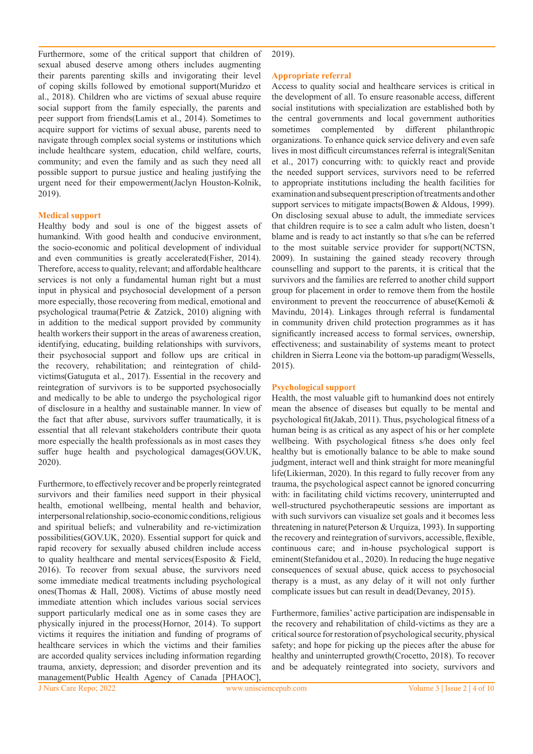Furthermore, some of the critical support that children of sexual abused deserve among others includes augmenting their parents parenting skills and invigorating their level of coping skills followed by emotional support(Muridzo et al., 2018). Children who are victims of sexual abuse require social support from the family especially, the parents and peer support from friends(Lamis et al., 2014). Sometimes to acquire support for victims of sexual abuse, parents need to navigate through complex social systems or institutions which include healthcare system, education, child welfare, courts, community; and even the family and as such they need all possible support to pursue justice and healing justifying the urgent need for their empowerment(Jaclyn Houston-Kolnik, 2019).

#### **Medical support**

Healthy body and soul is one of the biggest assets of humankind. With good health and conducive environment, the socio-economic and political development of individual and even communities is greatly accelerated(Fisher, 2014). Therefore, access to quality, relevant; and affordable healthcare services is not only a fundamental human right but a must input in physical and psychosocial development of a person more especially, those recovering from medical, emotional and psychological trauma(Petrie & Zatzick, 2010) aligning with in addition to the medical support provided by community health workers their support in the areas of awareness creation, identifying, educating, building relationships with survivors, their psychosocial support and follow ups are critical in the recovery, rehabilitation; and reintegration of childvictims(Gatuguta et al., 2017). Essential in the recovery and reintegration of survivors is to be supported psychosocially and medically to be able to undergo the psychological rigor of disclosure in a healthy and sustainable manner. In view of the fact that after abuse, survivors suffer traumatically, it is essential that all relevant stakeholders contribute their quota more especially the health professionals as in most cases they suffer huge health and psychological damages(GOV.UK, 2020).

Furthermore, to effectively recover and be properly reintegrated survivors and their families need support in their physical health, emotional wellbeing, mental health and behavior, interpersonal relationship, socio-economic conditions, religious and spiritual beliefs; and vulnerability and re-victimization possibilities(GOV.UK, 2020). Essential support for quick and rapid recovery for sexually abused children include access to quality healthcare and mental services(Esposito & Field, 2016). To recover from sexual abuse, the survivors need some immediate medical treatments including psychological ones(Thomas & Hall, 2008). Victims of abuse mostly need immediate attention which includes various social services support particularly medical one as in some cases they are physically injured in the process(Hornor, 2014). To support victims it requires the initiation and funding of programs of healthcare services in which the victims and their families are accorded quality services including information regarding trauma, anxiety, depression; and disorder prevention and its management(Public Health Agency of Canada [PHAOC],

2019).

#### **Appropriate referral**

Access to quality social and healthcare services is critical in the development of all. To ensure reasonable access, different social institutions with specialization are established both by the central governments and local government authorities sometimes complemented by different philanthropic organizations. To enhance quick service delivery and even safe lives in most difficult circumstances referral is integral(Senitan et al., 2017) concurring with: to quickly react and provide the needed support services, survivors need to be referred to appropriate institutions including the health facilities for examination and subsequent prescription of treatments and other support services to mitigate impacts(Bowen & Aldous, 1999). On disclosing sexual abuse to adult, the immediate services that children require is to see a calm adult who listen, doesn't blame and is ready to act instantly so that s/he can be referred to the most suitable service provider for support(NCTSN, 2009). In sustaining the gained steady recovery through counselling and support to the parents, it is critical that the survivors and the families are referred to another child support group for placement in order to remove them from the hostile environment to prevent the reoccurrence of abuse(Kemoli & Mavindu, 2014). Linkages through referral is fundamental in community driven child protection programmes as it has significantly increased access to formal services, ownership, effectiveness; and sustainability of systems meant to protect children in Sierra Leone via the bottom-up paradigm(Wessells, 2015).

#### **Psychological support**

Health, the most valuable gift to humankind does not entirely mean the absence of diseases but equally to be mental and psychological fit(Jakab, 2011). Thus, psychological fitness of a human being is as critical as any aspect of his or her complete wellbeing. With psychological fitness s/he does only feel healthy but is emotionally balance to be able to make sound judgment, interact well and think straight for more meaningful life(Likierman, 2020). In this regard to fully recover from any trauma, the psychological aspect cannot be ignored concurring with: in facilitating child victims recovery, uninterrupted and well-structured psychotherapeutic sessions are important as with such survivors can visualize set goals and it becomes less threatening in nature(Peterson & Urquiza, 1993). In supporting the recovery and reintegration of survivors, accessible, flexible, continuous care; and in-house psychological support is eminent(Stefanidou et al., 2020). In reducing the huge negative consequences of sexual abuse, quick access to psychosocial therapy is a must, as any delay of it will not only further complicate issues but can result in dead(Devaney, 2015).

Furthermore, families' active participation are indispensable in the recovery and rehabilitation of child-victims as they are a critical source for restoration of psychological security, physical safety; and hope for picking up the pieces after the abuse for healthy and uninterrupted growth(Crocetto, 2018). To recover and be adequately reintegrated into society, survivors and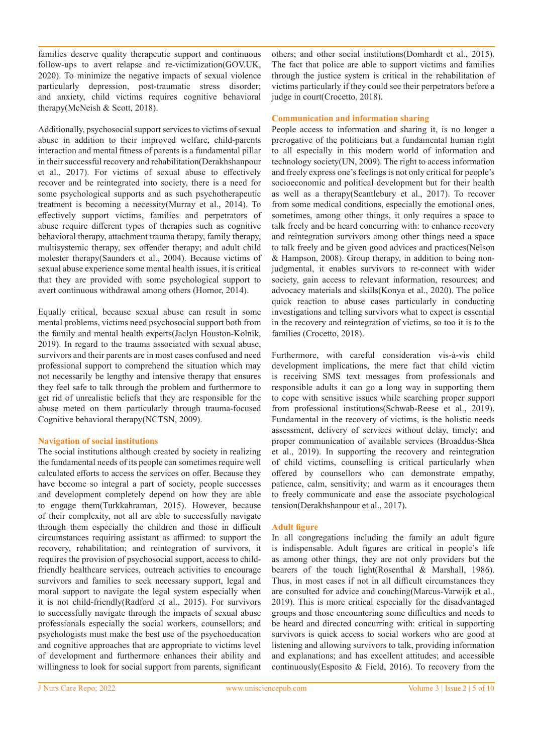families deserve quality therapeutic support and continuous follow-ups to avert relapse and re-victimization(GOV.UK, 2020). To minimize the negative impacts of sexual violence particularly depression, post-traumatic stress disorder; and anxiety, child victims requires cognitive behavioral therapy(McNeish & Scott, 2018).

Additionally, psychosocial support services to victims of sexual abuse in addition to their improved welfare, child-parents interaction and mental fitness of parents is a fundamental pillar in their successful recovery and rehabilitation(Derakhshanpour et al., 2017). For victims of sexual abuse to effectively recover and be reintegrated into society, there is a need for some psychological supports and as such psychotherapeutic treatment is becoming a necessity(Murray et al., 2014). To effectively support victims, families and perpetrators of abuse require different types of therapies such as cognitive behavioral therapy, attachment trauma therapy, family therapy, multisystemic therapy, sex offender therapy; and adult child molester therapy(Saunders et al., 2004). Because victims of sexual abuse experience some mental health issues, it is critical that they are provided with some psychological support to avert continuous withdrawal among others (Hornor, 2014).

Equally critical, because sexual abuse can result in some mental problems, victims need psychosocial support both from the family and mental health experts(Jaclyn Houston-Kolnik, 2019). In regard to the trauma associated with sexual abuse, survivors and their parents are in most cases confused and need professional support to comprehend the situation which may not necessarily be lengthy and intensive therapy that ensures they feel safe to talk through the problem and furthermore to get rid of unrealistic beliefs that they are responsible for the abuse meted on them particularly through trauma-focused Cognitive behavioral therapy(NCTSN, 2009).

#### **Navigation of social institutions**

The social institutions although created by society in realizing the fundamental needs of its people can sometimes require well calculated efforts to access the services on offer. Because they have become so integral a part of society, people successes and development completely depend on how they are able to engage them(Turkkahraman, 2015). However, because of their complexity, not all are able to successfully navigate through them especially the children and those in difficult circumstances requiring assistant as affirmed: to support the recovery, rehabilitation; and reintegration of survivors, it requires the provision of psychosocial support, access to childfriendly healthcare services, outreach activities to encourage survivors and families to seek necessary support, legal and moral support to navigate the legal system especially when it is not child-friendly(Radford et al., 2015). For survivors to successfully navigate through the impacts of sexual abuse professionals especially the social workers, counsellors; and psychologists must make the best use of the psychoeducation and cognitive approaches that are appropriate to victims level of development and furthermore enhances their ability and willingness to look for social support from parents, significant

others; and other social institutions(Domhardt et al., 2015). The fact that police are able to support victims and families through the justice system is critical in the rehabilitation of victims particularly if they could see their perpetrators before a judge in court(Crocetto, 2018).

# **Communication and information sharing**

People access to information and sharing it, is no longer a prerogative of the politicians but a fundamental human right to all especially in this modern world of information and technology society(UN, 2009). The right to access information and freely express one's feelings is not only critical for people's socioeconomic and political development but for their health as well as a therapy(Scantlebury et al., 2017). To recover from some medical conditions, especially the emotional ones, sometimes, among other things, it only requires a space to talk freely and be heard concurring with: to enhance recovery and reintegration survivors among other things need a space to talk freely and be given good advices and practices(Nelson & Hampson, 2008). Group therapy, in addition to being nonjudgmental, it enables survivors to re-connect with wider society, gain access to relevant information, resources; and advocacy materials and skills(Konya et al., 2020). The police quick reaction to abuse cases particularly in conducting investigations and telling survivors what to expect is essential in the recovery and reintegration of victims, so too it is to the families (Crocetto, 2018).

Furthermore, with careful consideration vis-à-vis child development implications, the mere fact that child victim is receiving SMS text messages from professionals and responsible adults it can go a long way in supporting them to cope with sensitive issues while searching proper support from professional institutions(Schwab-Reese et al., 2019). Fundamental in the recovery of victims, is the holistic needs assessment, delivery of services without delay, timely; and proper communication of available services (Broaddus-Shea et al., 2019). In supporting the recovery and reintegration of child victims, counselling is critical particularly when offered by counsellors who can demonstrate empathy, patience, calm, sensitivity; and warm as it encourages them to freely communicate and ease the associate psychological tension(Derakhshanpour et al., 2017).

# **Adult figure**

In all congregations including the family an adult figure is indispensable. Adult figures are critical in people's life as among other things, they are not only providers but the bearers of the touch light(Rosenthal & Marshall, 1986). Thus, in most cases if not in all difficult circumstances they are consulted for advice and couching(Marcus-Varwijk et al., 2019). This is more critical especially for the disadvantaged groups and those encountering some difficulties and needs to be heard and directed concurring with: critical in supporting survivors is quick access to social workers who are good at listening and allowing survivors to talk, providing information and explanations; and has excellent attitudes; and accessible continuously(Esposito & Field, 2016). To recovery from the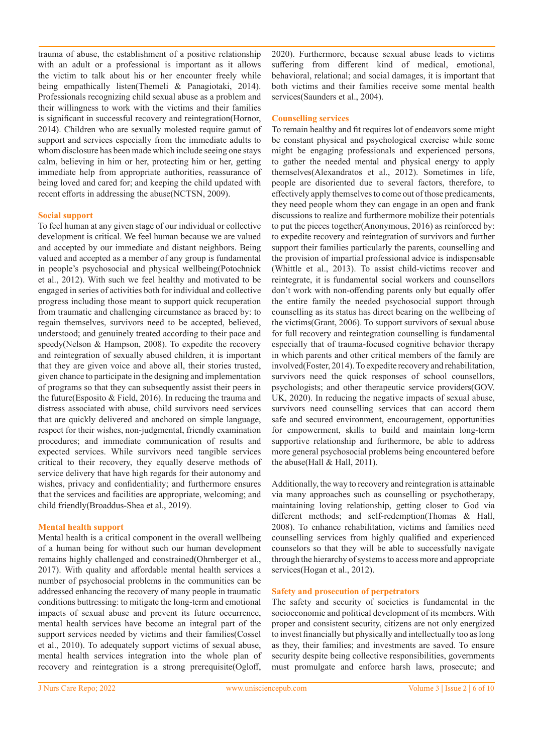trauma of abuse, the establishment of a positive relationship with an adult or a professional is important as it allows the victim to talk about his or her encounter freely while being empathically listen(Themeli & Panagiotaki, 2014). Professionals recognizing child sexual abuse as a problem and their willingness to work with the victims and their families is significant in successful recovery and reintegration(Hornor, 2014). Children who are sexually molested require gamut of support and services especially from the immediate adults to whom disclosure has been made which include seeing one stays calm, believing in him or her, protecting him or her, getting immediate help from appropriate authorities, reassurance of being loved and cared for; and keeping the child updated with recent efforts in addressing the abuse(NCTSN, 2009).

#### **Social support**

To feel human at any given stage of our individual or collective development is critical. We feel human because we are valued and accepted by our immediate and distant neighbors. Being valued and accepted as a member of any group is fundamental in people's psychosocial and physical wellbeing(Potochnick et al., 2012). With such we feel healthy and motivated to be engaged in series of activities both for individual and collective progress including those meant to support quick recuperation from traumatic and challenging circumstance as braced by: to regain themselves, survivors need to be accepted, believed, understood; and genuinely treated according to their pace and speedy(Nelson & Hampson, 2008). To expedite the recovery and reintegration of sexually abused children, it is important that they are given voice and above all, their stories trusted, given chance to participate in the designing and implementation of programs so that they can subsequently assist their peers in the future(Esposito & Field, 2016). In reducing the trauma and distress associated with abuse, child survivors need services that are quickly delivered and anchored on simple language, respect for their wishes, non-judgmental, friendly examination procedures; and immediate communication of results and expected services. While survivors need tangible services critical to their recovery, they equally deserve methods of service delivery that have high regards for their autonomy and wishes, privacy and confidentiality; and furthermore ensures that the services and facilities are appropriate, welcoming; and child friendly(Broaddus-Shea et al., 2019).

# **Mental health support**

Mental health is a critical component in the overall wellbeing of a human being for without such our human development remains highly challenged and constrained(Ohrnberger et al., 2017). With quality and affordable mental health services a number of psychosocial problems in the communities can be addressed enhancing the recovery of many people in traumatic conditions buttressing: to mitigate the long-term and emotional impacts of sexual abuse and prevent its future occurrence, mental health services have become an integral part of the support services needed by victims and their families(Cossel et al., 2010). To adequately support victims of sexual abuse, mental health services integration into the whole plan of recovery and reintegration is a strong prerequisite(Ogloff, 2020). Furthermore, because sexual abuse leads to victims suffering from different kind of medical, emotional, behavioral, relational; and social damages, it is important that both victims and their families receive some mental health services(Saunders et al., 2004).

### **Counselling services**

To remain healthy and fit requires lot of endeavors some might be constant physical and psychological exercise while some might be engaging professionals and experienced persons, to gather the needed mental and physical energy to apply themselves(Alexandratos et al., 2012). Sometimes in life, people are disoriented due to several factors, therefore, to effectively apply themselves to come out of those predicaments, they need people whom they can engage in an open and frank discussions to realize and furthermore mobilize their potentials to put the pieces together(Anonymous, 2016) as reinforced by: to expedite recovery and reintegration of survivors and further support their families particularly the parents, counselling and the provision of impartial professional advice is indispensable (Whittle et al., 2013). To assist child-victims recover and reintegrate, it is fundamental social workers and counsellors don't work with non-offending parents only but equally offer the entire family the needed psychosocial support through counselling as its status has direct bearing on the wellbeing of the victims(Grant, 2006). To support survivors of sexual abuse for full recovery and reintegration counselling is fundamental especially that of trauma-focused cognitive behavior therapy in which parents and other critical members of the family are involved(Foster, 2014). To expedite recovery and rehabilitation, survivors need the quick responses of school counsellors, psychologists; and other therapeutic service providers(GOV. UK, 2020). In reducing the negative impacts of sexual abuse, survivors need counselling services that can accord them safe and secured environment, encouragement, opportunities for empowerment, skills to build and maintain long-term supportive relationship and furthermore, be able to address more general psychosocial problems being encountered before the abuse(Hall & Hall, 2011).

Additionally, the way to recovery and reintegration is attainable via many approaches such as counselling or psychotherapy, maintaining loving relationship, getting closer to God via different methods; and self-redemption(Thomas & Hall, 2008). To enhance rehabilitation, victims and families need counselling services from highly qualified and experienced counselors so that they will be able to successfully navigate through the hierarchy of systems to access more and appropriate services(Hogan et al., 2012).

#### **Safety and prosecution of perpetrators**

The safety and security of societies is fundamental in the socioeconomic and political development of its members. With proper and consistent security, citizens are not only energized to invest financially but physically and intellectually too as long as they, their families; and investments are saved. To ensure security despite being collective responsibilities, governments must promulgate and enforce harsh laws, prosecute; and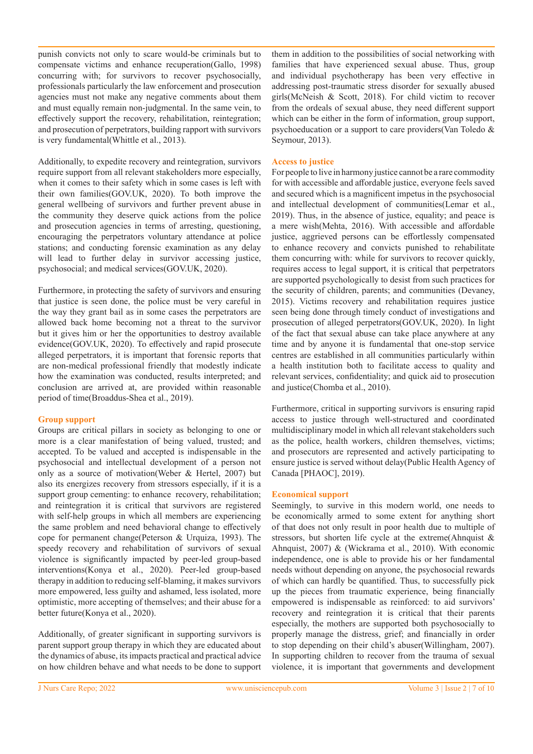punish convicts not only to scare would-be criminals but to compensate victims and enhance recuperation(Gallo, 1998) concurring with; for survivors to recover psychosocially, professionals particularly the law enforcement and prosecution agencies must not make any negative comments about them and must equally remain non-judgmental. In the same vein, to effectively support the recovery, rehabilitation, reintegration; and prosecution of perpetrators, building rapport with survivors is very fundamental(Whittle et al., 2013).

Additionally, to expedite recovery and reintegration, survivors require support from all relevant stakeholders more especially, when it comes to their safety which in some cases is left with their own families(GOV.UK, 2020). To both improve the general wellbeing of survivors and further prevent abuse in the community they deserve quick actions from the police and prosecution agencies in terms of arresting, questioning, encouraging the perpetrators voluntary attendance at police stations; and conducting forensic examination as any delay will lead to further delay in survivor accessing justice, psychosocial; and medical services(GOV.UK, 2020).

Furthermore, in protecting the safety of survivors and ensuring that justice is seen done, the police must be very careful in the way they grant bail as in some cases the perpetrators are allowed back home becoming not a threat to the survivor but it gives him or her the opportunities to destroy available evidence(GOV.UK, 2020). To effectively and rapid prosecute alleged perpetrators, it is important that forensic reports that are non-medical professional friendly that modestly indicate how the examination was conducted, results interpreted; and conclusion are arrived at, are provided within reasonable period of time(Broaddus-Shea et al., 2019).

#### **Group support**

Groups are critical pillars in society as belonging to one or more is a clear manifestation of being valued, trusted; and accepted. To be valued and accepted is indispensable in the psychosocial and intellectual development of a person not only as a source of motivation(Weber & Hertel, 2007) but also its energizes recovery from stressors especially, if it is a support group cementing: to enhance recovery, rehabilitation; and reintegration it is critical that survivors are registered with self-help groups in which all members are experiencing the same problem and need behavioral change to effectively cope for permanent change(Peterson & Urquiza, 1993). The speedy recovery and rehabilitation of survivors of sexual violence is significantly impacted by peer-led group-based interventions(Konya et al., 2020). Peer-led group-based therapy in addition to reducing self-blaming, it makes survivors more empowered, less guilty and ashamed, less isolated, more optimistic, more accepting of themselves; and their abuse for a better future(Konya et al., 2020).

Additionally, of greater significant in supporting survivors is parent support group therapy in which they are educated about the dynamics of abuse, its impacts practical and practical advice on how children behave and what needs to be done to support

them in addition to the possibilities of social networking with families that have experienced sexual abuse. Thus, group and individual psychotherapy has been very effective in addressing post-traumatic stress disorder for sexually abused girls(McNeish & Scott, 2018). For child victim to recover from the ordeals of sexual abuse, they need different support which can be either in the form of information, group support, psychoeducation or a support to care providers(Van Toledo & Seymour, 2013).

# **Access to justice**

For people to live in harmony justice cannot be a rare commodity for with accessible and affordable justice, everyone feels saved and secured which is a magnificent impetus in the psychosocial and intellectual development of communities(Lemar et al., 2019). Thus, in the absence of justice, equality; and peace is a mere wish(Mehta, 2016). With accessible and affordable justice, aggrieved persons can be effortlessly compensated to enhance recovery and convicts punished to rehabilitate them concurring with: while for survivors to recover quickly, requires access to legal support, it is critical that perpetrators are supported psychologically to desist from such practices for the security of children, parents; and communities (Devaney, 2015). Victims recovery and rehabilitation requires justice seen being done through timely conduct of investigations and prosecution of alleged perpetrators(GOV.UK, 2020). In light of the fact that sexual abuse can take place anywhere at any time and by anyone it is fundamental that one-stop service centres are established in all communities particularly within a health institution both to facilitate access to quality and relevant services, confidentiality; and quick aid to prosecution and justice(Chomba et al., 2010).

Furthermore, critical in supporting survivors is ensuring rapid access to justice through well-structured and coordinated multidisciplinary model in which all relevant stakeholders such as the police, health workers, children themselves, victims; and prosecutors are represented and actively participating to ensure justice is served without delay(Public Health Agency of Canada [PHAOC], 2019).

# **Economical support**

Seemingly, to survive in this modern world, one needs to be economically armed to some extent for anything short of that does not only result in poor health due to multiple of stressors, but shorten life cycle at the extreme(Ahnquist & Ahnquist, 2007) & (Wickrama et al., 2010). With economic independence, one is able to provide his or her fundamental needs without depending on anyone, the psychosocial rewards of which can hardly be quantified. Thus, to successfully pick up the pieces from traumatic experience, being financially empowered is indispensable as reinforced: to aid survivors' recovery and reintegration it is critical that their parents especially, the mothers are supported both psychosocially to properly manage the distress, grief; and financially in order to stop depending on their child's abuser(Willingham, 2007). In supporting children to recover from the trauma of sexual violence, it is important that governments and development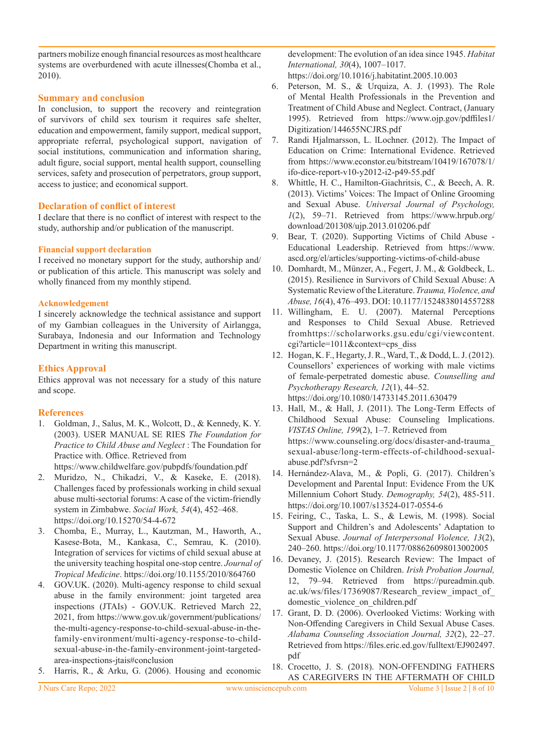partners mobilize enough financial resources as most healthcare systems are overburdened with acute illnesses(Chomba et al., 2010).

# **Summary and conclusion**

In conclusion, to support the recovery and reintegration of survivors of child sex tourism it requires safe shelter, education and empowerment, family support, medical support, appropriate referral, psychological support, navigation of social institutions, communication and information sharing, adult figure, social support, mental health support, counselling services, safety and prosecution of perpetrators, group support, access to justice; and economical support.

# **Declaration of conflict of interest**

I declare that there is no conflict of interest with respect to the study, authorship and/or publication of the manuscript.

# **Financial support declaration**

I received no monetary support for the study, authorship and/ or publication of this article. This manuscript was solely and wholly financed from my monthly stipend.

# **Acknowledgement**

I sincerely acknowledge the technical assistance and support of my Gambian colleagues in the University of Airlangga, Surabaya, Indonesia and our Information and Technology Department in writing this manuscript.

# **Ethics Approval**

Ethics approval was not necessary for a study of this nature and scope.

# **References**

1. Goldman, J., Salus, M. K., Wolcott, D., & Kennedy, K. Y. (2003). USER MANUAL SE RIES *The Foundation for Practice to Child Abuse and Neglect* : The Foundation for Practice with. Office. Retrieved from https://www.childwelfare.gov/pubpdfs/foundation.pdf

2. Muridzo, N., Chikadzi, V., & Kaseke, E. (2018). Challenges faced by professionals working in child sexual abuse multi-sectorial forums: A case of the victim-friendly system in Zimbabwe. *Social Work, 54*(4), 452–468. https://doi.org/10.15270/54-4-672

- 3. Chomba, E., Murray, L., Kautzman, M., Haworth, A., Kasese-Bota, M., Kankasa, C., Semrau, K. (2010). Integration of services for victims of child sexual abuse at the university teaching hospital one-stop centre. *Journal of Tropical Medicine*. https://doi.org/10.1155/2010/864760
- 4. GOV.UK. (2020). Multi-agency response to child sexual abuse in the family environment: joint targeted area inspections (JTAIs) - GOV.UK. Retrieved March 22, 2021, from https://www.gov.uk/government/publications/ the-multi-agency-response-to-child-sexual-abuse-in-thefamily-environment/multi-agency-response-to-childsexual-abuse-in-the-family-environment-joint-targetedarea-inspections-jtais#conclusion
- 5. Harris, R., & Arku, G. (2006). Housing and economic

development: The evolution of an idea since 1945. *Habitat International, 30*(4), 1007–1017.

https://doi.org/10.1016/j.habitatint.2005.10.003

- 6. Peterson, M. S., & Urquiza, A. J. (1993). The Role of Mental Health Professionals in the Prevention and Treatment of Child Abuse and Neglect. Contract, (January 1995). Retrieved from https://www.ojp.gov/pdffiles1/ Digitization/144655NCJRS.pdf
- 7. Randi Hjalmarsson, L. lLochner. (2012). The Impact of Education on Crime: International Evidence. Retrieved from https://www.econstor.eu/bitstream/10419/167078/1/ ifo-dice-report-v10-y2012-i2-p49-55.pdf
- 8. Whittle, H. C., Hamilton-Giachritsis, C., & Beech, A. R. (2013). Victims' Voices: The Impact of Online Grooming and Sexual Abuse. *Universal Journal of Psychology, 1*(2), 59–71. Retrieved from https://www.hrpub.org/ download/201308/ujp.2013.010206.pdf
- 9. Bear, T. (2020). Supporting Victims of Child Abuse Educational Leadership. Retrieved from https://www. ascd.org/el/articles/supporting-victims-of-child-abuse
- 10. Domhardt, M., Münzer, A., Fegert, J. M., & Goldbeck, L. (2015). Resilience in Survivors of Child Sexual Abuse: A Systematic Review of the Literature. *Trauma, Violence, and Abuse, 16*(4), 476–493. DOI: 10.1177/1524838014557288
- 11. Willingham, E. U. (2007). Maternal Perceptions and Responses to Child Sexual Abuse. Retrieved fromhttps://scholarworks.gsu.edu/cgi/viewcontent. cgi?article=1011&context=cps\_diss
- 12. Hogan, K. F., Hegarty, J. R., Ward, T., & Dodd, L. J. (2012). Counsellors' experiences of working with male victims of female-perpetrated domestic abuse. *Counselling and Psychotherapy Research, 12*(1), 44–52. https://doi.org/10.1080/14733145.2011.630479
- 13. Hall, M., & Hall, J. (2011). The Long-Term Effects of Childhood Sexual Abuse: Counseling Implications. *VISTAS Online, 199*(2), 1–7. Retrieved from https://www.counseling.org/docs/disaster-and-trauma\_ sexual-abuse/long-term-effects-of-childhood-sexualabuse.pdf?sfvrsn=2
- 14. Hernández-Alava, M., & Popli, G. (2017). Children's Development and Parental Input: Evidence From the UK Millennium Cohort Study. *Demography, 54*(2), 485-511. https://doi.org/10.1007/s13524-017-0554-6
- 15. Feiring, C., Taska, L. S., & Lewis, M. (1998). Social Support and Children's and Adolescents' Adaptation to Sexual Abuse. *Journal of Interpersonal Violence, 13*(2), 240–260. https://doi.org/10.1177/088626098013002005
- 16. Devaney, J. (2015). Research Review: The Impact of Domestic Violence on Children. *Irish Probation Journal,*  12, 79–94. Retrieved from https://pureadmin.qub. ac.uk/ws/files/17369087/Research\_review\_impact\_of\_ domestic\_violence\_on\_children.pdf
- 17. Grant, D. D. (2006). Overlooked Victims: Working with Non-Offending Caregivers in Child Sexual Abuse Cases. *Alabama Counseling Association Journal, 32*(2), 22–27. Retrieved from https://files.eric.ed.gov/fulltext/EJ902497. pdf
- 18. Crocetto, J. S. (2018). NON-OFFENDING FATHERS AS CAREGIVERS IN THE AFTERMATH OF CHILD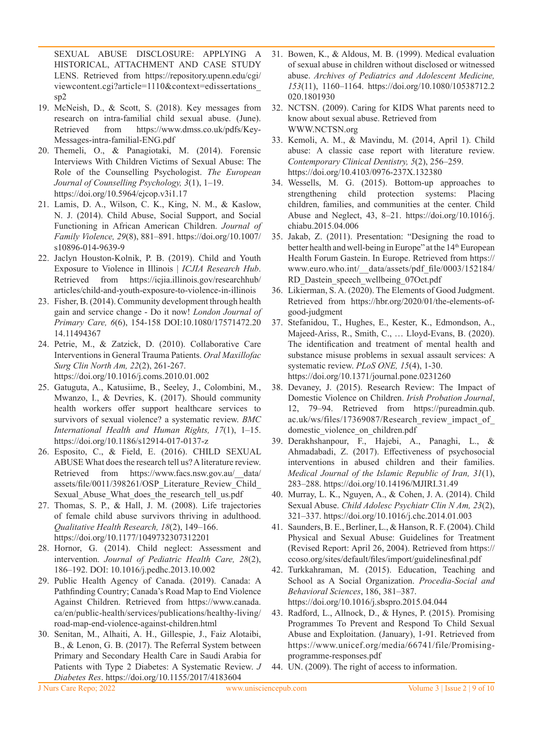SEXUAL ABUSE DISCLOSURE: APPLYING A HISTORICAL, ATTACHMENT AND CASE STUDY LENS. Retrieved from https://repository.upenn.edu/cgi/ viewcontent.cgi?article=1110&context=edissertations\_ sp2

- 19. McNeish, D., & Scott, S. (2018). Key messages from research on intra-familial child sexual abuse. (June). Retrieved from https://www.dmss.co.uk/pdfs/Key-Messages-intra-familial-ENG.pdf
- 20. Themeli, O., & Panagiotaki, M. (2014). Forensic Interviews With Children Victims of Sexual Abuse: The Role of the Counselling Psychologist. *The European Journal of Counselling Psychology, 3*(1), 1–19. https://doi.org/10.5964/ejcop.v3i1.17
- 21. Lamis, D. A., Wilson, C. K., King, N. M., & Kaslow, N. J. (2014). Child Abuse, Social Support, and Social Functioning in African American Children. *Journal of Family Violence, 29*(8), 881–891. https://doi.org/10.1007/ s10896-014-9639-9
- 22. Jaclyn Houston-Kolnik, P. B. (2019). Child and Youth Exposure to Violence in Illinois | *ICJIA Research Hub*. Retrieved from https://icjia.illinois.gov/researchhub/ articles/child-and-youth-exposure-to-violence-in-illinois
- 23. Fisher, B. (2014). Community development through health gain and service change - Do it now! *London Journal of Primary Care, 6*(6), 154-158 DOI:10.1080/17571472.20 14.11494367
- 24. Petrie, M., & Zatzick, D. (2010). Collaborative Care Interventions in General Trauma Patients. *Oral Maxillofac Surg Clin North Am, 22*(2), 261-267. https://doi.org/10.1016/j.coms.2010.01.002
- 25. Gatuguta, A., Katusiime, B., Seeley, J., Colombini, M., Mwanzo, I., & Devries, K. (2017). Should community health workers offer support healthcare services to survivors of sexual violence? a systematic review. *BMC International Health and Human Rights, 17*(1), 1–15. https://doi.org/10.1186/s12914-017-0137-z
- 26. Esposito, C., & Field, E. (2016). CHILD SEXUAL ABUSE What does the research tell us? A literature review. Retrieved from https://www.facs.nsw.gov.au/\_\_data/ assets/file/0011/398261/OSP\_Literature\_Review\_Child\_ Sexual Abuse What does the research tell us.pdf
- 27. Thomas, S. P., & Hall, J. M. (2008). Life trajectories of female child abuse survivors thriving in adulthood. *Qualitative Health Research, 18*(2), 149–166. https://doi.org/10.1177/1049732307312201
- 28. Hornor, G. (2014). Child neglect: Assessment and intervention. *Journal of Pediatric Health Care, 28*(2), 186–192. DOI: 10.1016/j.pedhc.2013.10.002
- 29. Public Health Agency of Canada. (2019). Canada: A Pathfinding Country; Canada's Road Map to End Violence Against Children. Retrieved from https://www.canada. ca/en/public-health/services/publications/healthy-living/ road-map-end-violence-against-children.html
- 30. Senitan, M., Alhaiti, A. H., Gillespie, J., Faiz Alotaibi, B., & Lenon, G. B. (2017). The Referral System between Primary and Secondary Health Care in Saudi Arabia for Patients with Type 2 Diabetes: A Systematic Review. *J Diabetes Res*. https://doi.org/10.1155/2017/4183604
- 31. Bowen, K., & Aldous, M. B. (1999). Medical evaluation of sexual abuse in children without disclosed or witnessed abuse. *Archives of Pediatrics and Adolescent Medicine, 153*(11), 1160–1164. https://doi.org/10.1080/10538712.2 020.1801930
- 32. NCTSN. (2009). Caring for KIDS What parents need to know about sexual abuse. Retrieved from WWW.NCTSN.org
- 33. Kemoli, A. M., & Mavindu, M. (2014, April 1). Child abuse: A classic case report with literature review. *Contemporary Clinical Dentistry, 5*(2), 256–259. https://doi.org/10.4103/0976-237X.132380
- 34. Wessells, M. G. (2015). Bottom-up approaches to strengthening child protection systems: Placing children, families, and communities at the center. Child Abuse and Neglect, 43, 8–21. https://doi.org/10.1016/j. chiabu.2015.04.006
- 35. Jakab, Z. (2011). Presentation: "Designing the road to better health and well-being in Europe" at the 14<sup>th</sup> European Health Forum Gastein. In Europe. Retrieved from https:// www.euro.who.int/\_\_data/assets/pdf\_file/0003/152184/ RD\_Dastein\_speech\_wellbeing\_07Oct.pdf
- 36. Likierman, S. A. (2020). The Elements of Good Judgment. Retrieved from https://hbr.org/2020/01/the-elements-ofgood-judgment
- 37. Stefanidou, T., Hughes, E., Kester, K., Edmondson, A., Majeed-Ariss, R., Smith, C., … Lloyd-Evans, B. (2020). The identification and treatment of mental health and substance misuse problems in sexual assault services: A systematic review. *PLoS ONE, 15*(4), 1-30. https://doi.org/10.1371/journal.pone.0231260
- 38. Devaney, J. (2015). Research Review: The Impact of Domestic Violence on Children. *Irish Probation Journal*, 12, 79–94. Retrieved from https://pureadmin.qub. ac.uk/ws/files/17369087/Research\_review\_impact\_of\_ domestic violence on children.pdf
- 39. Derakhshanpour, F., Hajebi, A., Panaghi, L., & Ahmadabadi, Z. (2017). Effectiveness of psychosocial interventions in abused children and their families. *Medical Journal of the Islamic Republic of Iran, 31*(1), 283–288. https://doi.org/10.14196/MJIRI.31.49
- 40. Murray, L. K., Nguyen, A., & Cohen, J. A. (2014). Child Sexual Abuse. *Child Adolesc Psychiatr Clin N Am, 23*(2), 321–337. https://doi.org/10.1016/j.chc.2014.01.003
- 41. Saunders, B. E., Berliner, L., & Hanson, R. F. (2004). Child Physical and Sexual Abuse: Guidelines for Treatment (Revised Report: April 26, 2004). Retrieved from https:// ccoso.org/sites/default/files/import/guidelinesfinal.pdf
- 42. Turkkahraman, M. (2015). Education, Teaching and School as A Social Organization. *Procedia-Social and Behavioral Sciences*, 186, 381–387. https://doi.org/10.1016/j.sbspro.2015.04.044
- 43. Radford, L., Allnock, D., & Hynes, P. (2015). Promising Programmes To Prevent and Respond To Child Sexual Abuse and Exploitation. (January), 1-91. Retrieved from https://www.unicef.org/media/66741/file/Promisingprogramme-responses.pdf
- 44. UN. (2009). The right of access to information.